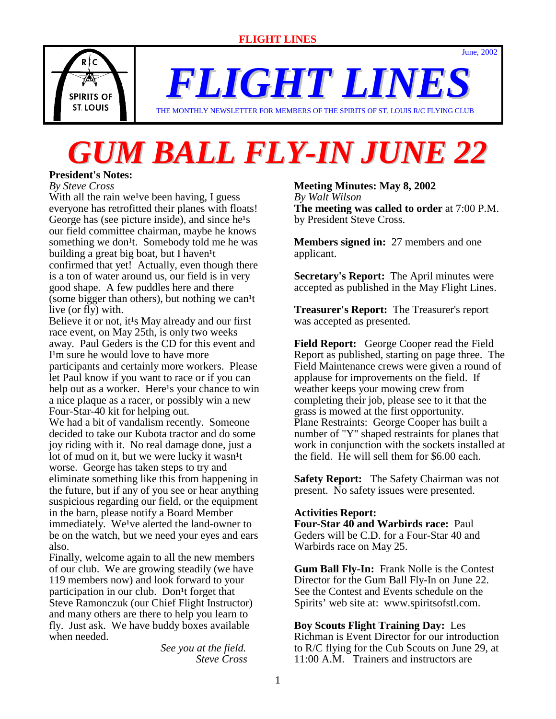THE MONTHLY NEWSLETTER FOR MEMBERS OF THE SPIRITS OF ST. LOUIS R/C FLYING CLUB

# *GUM BALL FLY-IN JUNE 22*

# **President's Notes:**

*By Steve Cross*

With all the rain we<sup>t</sup>ve been having, I guess everyone has retrofitted their planes with floats! George has (see picture inside), and since  $he^1s$ our field committee chairman, maybe he knows something we don<sup>1</sup>t. Somebody told me he was building a great big boat, but I haven<sup>1</sup>t confirmed that yet! Actually, even though there is a ton of water around us, our field is in very good shape. A few puddles here and there (some bigger than others), but nothing we can<sup>1</sup>t live (or fly) with.

Believe it or not, it<sup>1</sup>s May already and our first race event, on May 25th, is only two weeks away. Paul Geders is the CD for this event and I<sup>1</sup>m sure he would love to have more participants and certainly more workers. Please let Paul know if you want to race or if you can help out as a worker. Here<sup>1</sup>s your chance to win a nice plaque as a racer, or possibly win a new Four-Star-40 kit for helping out.

We had a bit of vandalism recently. Someone decided to take our Kubota tractor and do some joy riding with it. No real damage done, just a lot of mud on it, but we were lucky it wasn<sup>1</sup>t worse. George has taken steps to try and eliminate something like this from happening in the future, but if any of you see or hear anything suspicious regarding our field, or the equipment in the barn, please notify a Board Member immediately. We<sup>1</sup>ve alerted the land-owner to be on the watch, but we need your eyes and ears also.

Finally, welcome again to all the new members of our club. We are growing steadily (we have 119 members now) and look forward to your participation in our club. Don<sup>1</sup>t forget that Steve Ramonczuk (our Chief Flight Instructor) and many others are there to help you learn to fly. Just ask. We have buddy boxes available when needed.

> *See you at the field. Steve Cross*

# **Meeting Minutes: May 8, 2002**

*By Walt Wilson* **The meeting was called to order** at 7:00 P.M. by President Steve Cross.

June, 2002

**Members signed in:** 27 members and one applicant.

**Secretary's Report:** The April minutes were accepted as published in the May Flight Lines.

**Treasurer's Report:** The Treasurer's report was accepted as presented.

**Field Report:** George Cooper read the Field Report as published, starting on page three. The Field Maintenance crews were given a round of applause for improvements on the field. If weather keeps your mowing crew from completing their job, please see to it that the grass is mowed at the first opportunity. Plane Restraints: George Cooper has built a number of "Y" shaped restraints for planes that work in conjunction with the sockets installed at the field. He will sell them for \$6.00 each.

**Safety Report:** The Safety Chairman was not present. No safety issues were presented.

## **Activities Report:**

**Four-Star 40 and Warbirds race:** Paul Geders will be C.D. for a Four-Star 40 and Warbirds race on May 25.

**Gum Ball Fly-In:** Frank Nolle is the Contest Director for the Gum Ball Fly-In on June 22. See the Contest and Events schedule on the Spirits' web site at: www.spiritsofstl.com.

**Boy Scouts Flight Training Day:** Les Richman is Event Director for our introduction to R/C flying for the Cub Scouts on June 29, at 11:00 A.M. Trainers and instructors are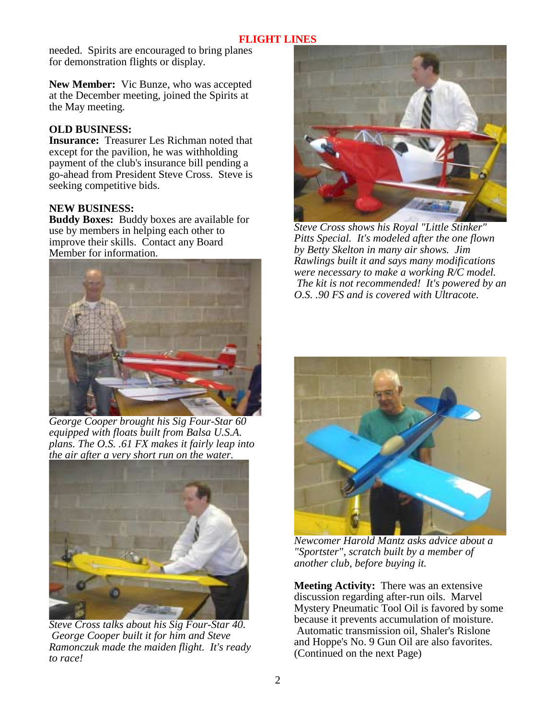needed. Spirits are encouraged to bring planes for demonstration flights or display.

**New Member:** Vic Bunze, who was accepted at the December meeting, joined the Spirits at the May meeting.

## **OLD BUSINESS:**

**Insurance:** Treasurer Les Richman noted that except for the pavilion, he was withholding payment of the club's insurance bill pending a go-ahead from President Steve Cross. Steve is seeking competitive bids.

# **NEW BUSINESS:**

**Buddy Boxes:** Buddy boxes are available for use by members in helping each other to improve their skills. Contact any Board Member for information.



*George Cooper brought his Sig Four-Star 60 equipped with floats built from Balsa U.S.A. plans. The O.S. .61 FX makes it fairly leap into the air after a very short run on the water.* 



*Steve Cross talks about his Sig Four-Star 40. George Cooper built it for him and Steve Ramonczuk made the maiden flight. It's ready to race!* 



*Steve Cross shows his Royal "Little Stinker" Pitts Special. It's modeled after the one flown by Betty Skelton in many air shows. Jim Rawlings built it and says many modifications were necessary to make a working R/C model. The kit is not recommended! It's powered by an O.S. .90 FS and is covered with Ultracote.* 



*Newcomer Harold Mantz asks advice about a "Sportster", scratch built by a member of another club, before buying it.* 

**Meeting Activity:** There was an extensive discussion regarding after-run oils. Marvel Mystery Pneumatic Tool Oil is favored by some because it prevents accumulation of moisture. Automatic transmission oil, Shaler's Rislone and Hoppe's No. 9 Gun Oil are also favorites. (Continued on the next Page)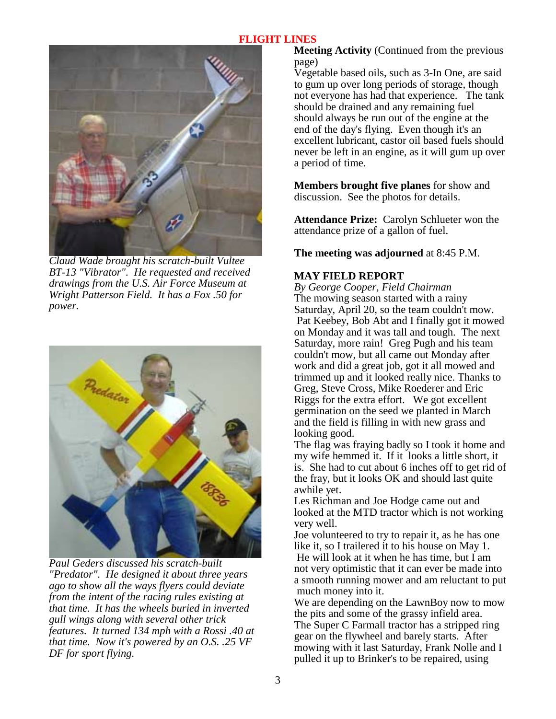

*Claud Wade brought his scratch-built Vultee BT-13 "Vibrator". He requested and received drawings from the U.S. Air Force Museum at Wright Patterson Field. It has a Fox .50 for power.* 



*Paul Geders discussed his scratch-built "Predator". He designed it about three years ago to show all the ways flyers could deviate from the intent of the racing rules existing at that time. It has the wheels buried in inverted gull wings along with several other trick features. It turned 134 mph with a Rossi .40 at that time. Now it's powered by an O.S. .25 VF DF for sport flying.* 

**Meeting Activity** (Continued from the previous page)

Vegetable based oils, such as 3-In One, are said to gum up over long periods of storage, though not everyone has had that experience. The tank should be drained and any remaining fuel should always be run out of the engine at the end of the day's flying. Even though it's an excellent lubricant, castor oil based fuels should never be left in an engine, as it will gum up over a period of time.

**Members brought five planes** for show and discussion. See the photos for details.

**Attendance Prize:** Carolyn Schlueter won the attendance prize of a gallon of fuel.

**The meeting was adjourned** at 8:45 P.M.

# **MAY FIELD REPORT**

*By George Cooper, Field Chairman* The mowing season started with a rainy Saturday, April 20, so the team couldn't mow. Pat Keebey, Bob Abt and I finally got it mowed on Monday and it was tall and tough. The next Saturday, more rain! Greg Pugh and his team couldn't mow, but all came out Monday after work and did a great job, got it all mowed and trimmed up and it looked really nice. Thanks to Greg, Steve Cross, Mike Roederer and Eric Riggs for the extra effort. We got excellent germination on the seed we planted in March and the field is filling in with new grass and looking good.

The flag was fraying badly so I took it home and my wife hemmed it. If it looks a little short, it is. She had to cut about 6 inches off to get rid of the fray, but it looks OK and should last quite awhile yet.

Les Richman and Joe Hodge came out and looked at the MTD tractor which is not working very well.

Joe volunteered to try to repair it, as he has one like it, so I trailered it to his house on May 1.

 He will look at it when he has time, but I am not very optimistic that it can ever be made into a smooth running mower and am reluctant to put much money into it.

We are depending on the LawnBoy now to mow the pits and some of the grassy infield area. The Super C Farmall tractor has a stripped ring gear on the flywheel and barely starts. After mowing with it last Saturday, Frank Nolle and I pulled it up to Brinker's to be repaired, using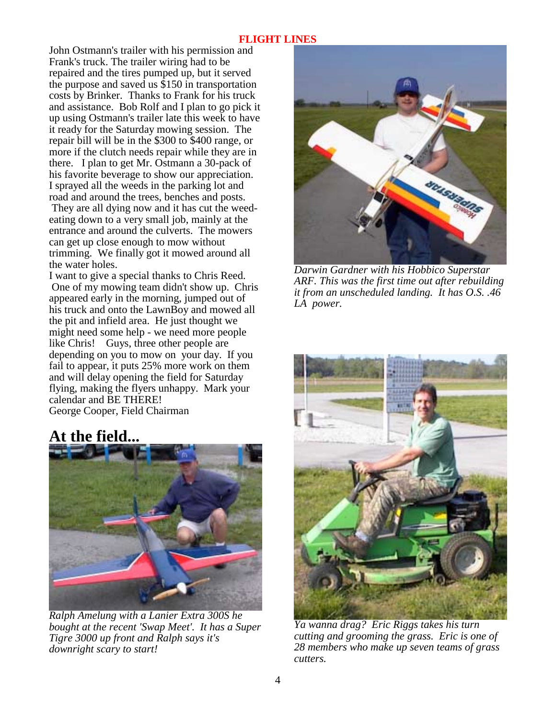John Ostmann's trailer with his permission and Frank's truck. The trailer wiring had to be repaired and the tires pumped up, but it served the purpose and saved us \$150 in transportation costs by Brinker. Thanks to Frank for his truck and assistance. Bob Rolf and I plan to go pick it up using Ostmann's trailer late this week to have it ready for the Saturday mowing session. The repair bill will be in the \$300 to \$400 range, or more if the clutch needs repair while they are in there. I plan to get Mr. Ostmann a 30-pack of his favorite beverage to show our appreciation. I sprayed all the weeds in the parking lot and road and around the trees, benches and posts.

 They are all dying now and it has cut the weedeating down to a very small job, mainly at the entrance and around the culverts. The mowers can get up close enough to mow without trimming. We finally got it mowed around all the water holes.

I want to give a special thanks to Chris Reed. One of my mowing team didn't show up. Chris appeared early in the morning, jumped out of his truck and onto the LawnBoy and mowed all the pit and infield area. He just thought we might need some help - we need more people like Chris! Guys, three other people are depending on you to mow on your day. If you fail to appear, it puts 25% more work on them and will delay opening the field for Saturday flying, making the flyers unhappy. Mark your calendar and BE THERE! George Cooper, Field Chairman

# **At the field...**



*Ralph Amelung with a Lanier Extra 300S he bought at the recent 'Swap Meet'. It has a Super Tigre 3000 up front and Ralph says it's downright scary to start!* 



*Darwin Gardner with his Hobbico Superstar ARF. This was the first time out after rebuilding it from an unscheduled landing. It has O.S. .46 LA power.* 



*Ya wanna drag? Eric Riggs takes his turn cutting and grooming the grass. Eric is one of 28 members who make up seven teams of grass cutters.*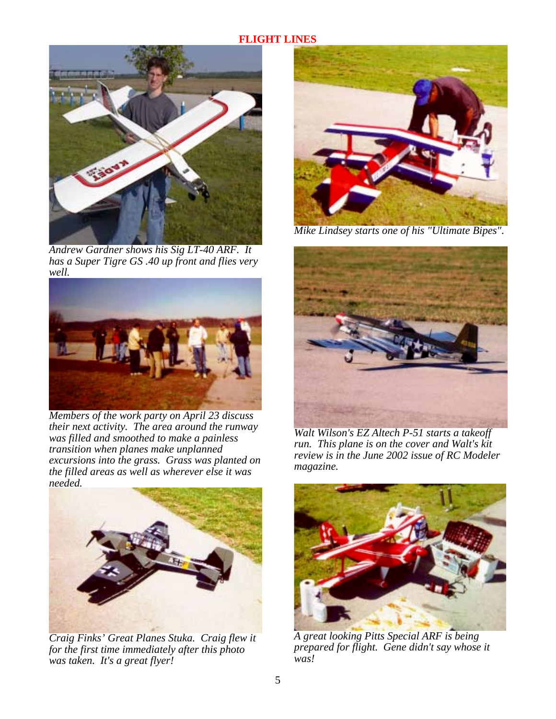

*Andrew Gardner shows his Sig LT-40 ARF. It has a Super Tigre GS .40 up front and flies very well.* 



*Members of the work party on April 23 discuss their next activity. The area around the runway was filled and smoothed to make a painless transition when planes make unplanned excursions into the grass. Grass was planted on the filled areas as well as wherever else it was needed.* 



*Craig Finks' Great Planes Stuka. Craig flew it for the first time immediately after this photo was taken. It's a great flyer!* 



*Mike Lindsey starts one of his "Ultimate Bipes".* 



*Walt Wilson's EZ Altech P-51 starts a takeoff run. This plane is on the cover and Walt's kit review is in the June 2002 issue of RC Modeler magazine.* 



*A great looking Pitts Special ARF is being prepared for flight. Gene didn't say whose it was!*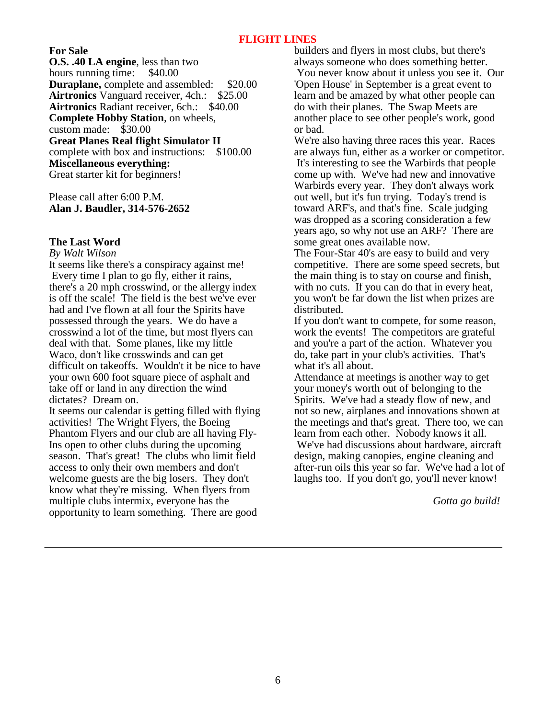**For Sale**

**O.S. .40 LA engine**, less than two hours running time: \$40.00 **Duraplane,** complete and assembled: \$20.00<br>**Airtronics** Vanguard receiver, 4ch.: \$25.00 **Airtronics** Vanguard receiver, 4ch.: **Airtronics** Radiant receiver, 6ch.: \$40.00 **Complete Hobby Station**, on wheels, custom made: \$30.00 **Great Planes Real flight Simulator II** complete with box and instructions: \$100.00 **Miscellaneous everything:** Great starter kit for beginners!

Please call after 6:00 P.M. **Alan J. Baudler, 314-576-2652** 

#### **The Last Word**

*By Walt Wilson*

It seems like there's a conspiracy against me! Every time I plan to go fly, either it rains, there's a 20 mph crosswind, or the allergy index is off the scale! The field is the best we've ever had and I've flown at all four the Spirits have possessed through the years. We do have a crosswind a lot of the time, but most flyers can deal with that. Some planes, like my little Waco, don't like crosswinds and can get difficult on takeoffs. Wouldn't it be nice to have your own 600 foot square piece of asphalt and take off or land in any direction the wind dictates? Dream on.

It seems our calendar is getting filled with flying activities! The Wright Flyers, the Boeing Phantom Flyers and our club are all having Fly-Ins open to other clubs during the upcoming season. That's great! The clubs who limit field access to only their own members and don't welcome guests are the big losers. They don't know what they're missing. When flyers from multiple clubs intermix, everyone has the opportunity to learn something. There are good

builders and flyers in most clubs, but there's always someone who does something better. You never know about it unless you see it. Our 'Open House' in September is a great event to learn and be amazed by what other people can do with their planes. The Swap Meets are another place to see other people's work, good or bad.

We're also having three races this year. Races are always fun, either as a worker or competitor. It's interesting to see the Warbirds that people come up with. We've had new and innovative Warbirds every year. They don't always work out well, but it's fun trying. Today's trend is toward ARF's, and that's fine. Scale judging was dropped as a scoring consideration a few years ago, so why not use an ARF? There are some great ones available now.

The Four-Star 40's are easy to build and very competitive. There are some speed secrets, but the main thing is to stay on course and finish, with no cuts. If you can do that in every heat, you won't be far down the list when prizes are distributed.

If you don't want to compete, for some reason, work the events! The competitors are grateful and you're a part of the action. Whatever you do, take part in your club's activities. That's what it's all about.

Attendance at meetings is another way to get your money's worth out of belonging to the Spirits. We've had a steady flow of new, and not so new, airplanes and innovations shown at the meetings and that's great. There too, we can learn from each other. Nobody knows it all. We've had discussions about hardware, aircraft design, making canopies, engine cleaning and after-run oils this year so far. We've had a lot of laughs too. If you don't go, you'll never know!

*Gotta go build!*